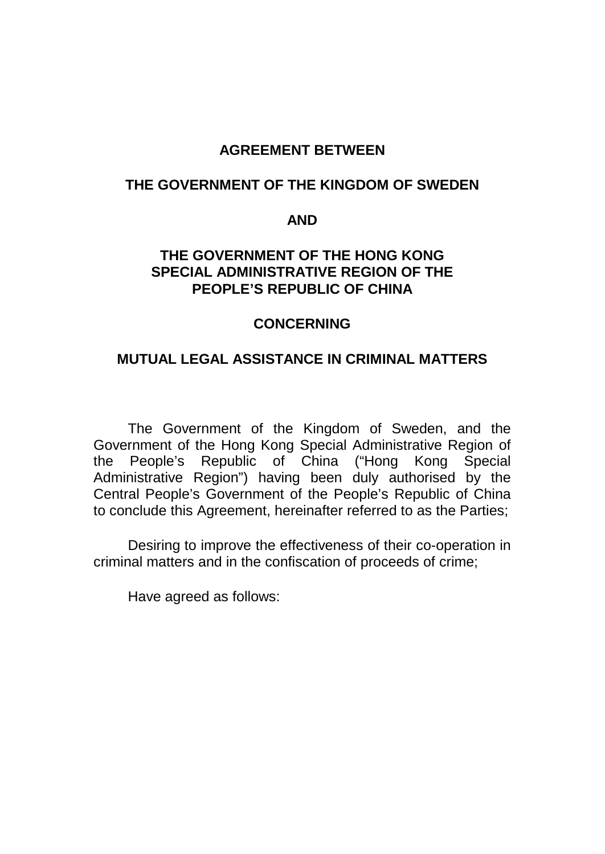#### **AGREEMENT BETWEEN**

#### **THE GOVERNMENT OF THE KINGDOM OF SWEDEN**

#### **AND**

#### **THE GOVERNMENT OF THE HONG KONG SPECIAL ADMINISTRATIVE REGION OF THE PEOPLE'S REPUBLIC OF CHINA**

#### **CONCERNING**

#### **MUTUAL LEGAL ASSISTANCE IN CRIMINAL MATTERS**

The Government of the Kingdom of Sweden, and the Government of the Hong Kong Special Administrative Region of the People's Republic of China ("Hong Kong Special Administrative Region") having been duly authorised by the Central People's Government of the People's Republic of China to conclude this Agreement, hereinafter referred to as the Parties;

Desiring to improve the effectiveness of their co-operation in criminal matters and in the confiscation of proceeds of crime;

Have agreed as follows: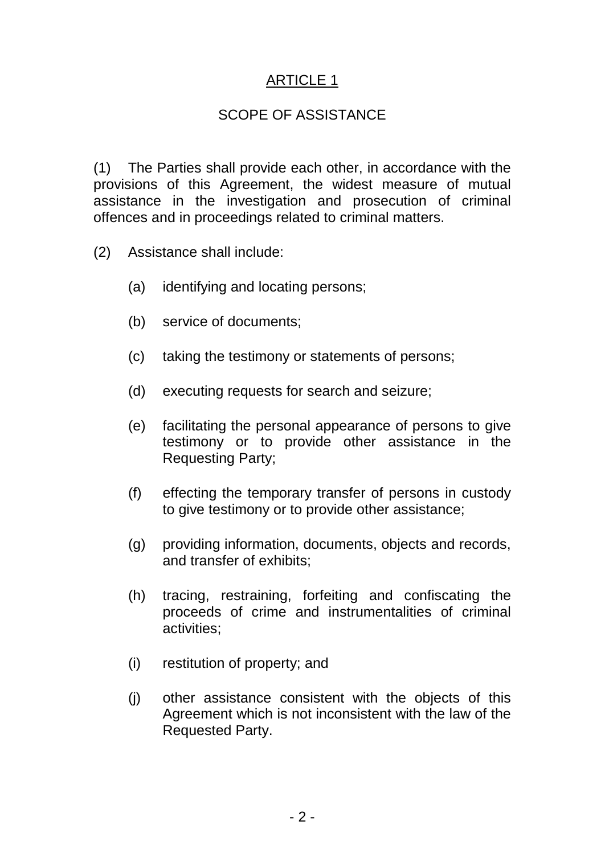### SCOPE OF ASSISTANCE

(1) The Parties shall provide each other, in accordance with the provisions of this Agreement, the widest measure of mutual assistance in the investigation and prosecution of criminal offences and in proceedings related to criminal matters.

- (2) Assistance shall include:
	- (a) identifying and locating persons;
	- (b) service of documents;
	- (c) taking the testimony or statements of persons;
	- (d) executing requests for search and seizure;
	- (e) facilitating the personal appearance of persons to give testimony or to provide other assistance in the Requesting Party;
	- (f) effecting the temporary transfer of persons in custody to give testimony or to provide other assistance;
	- (g) providing information, documents, objects and records, and transfer of exhibits;
	- (h) tracing, restraining, forfeiting and confiscating the proceeds of crime and instrumentalities of criminal activities;
	- (i) restitution of property; and
	- (j) other assistance consistent with the objects of this Agreement which is not inconsistent with the law of the Requested Party.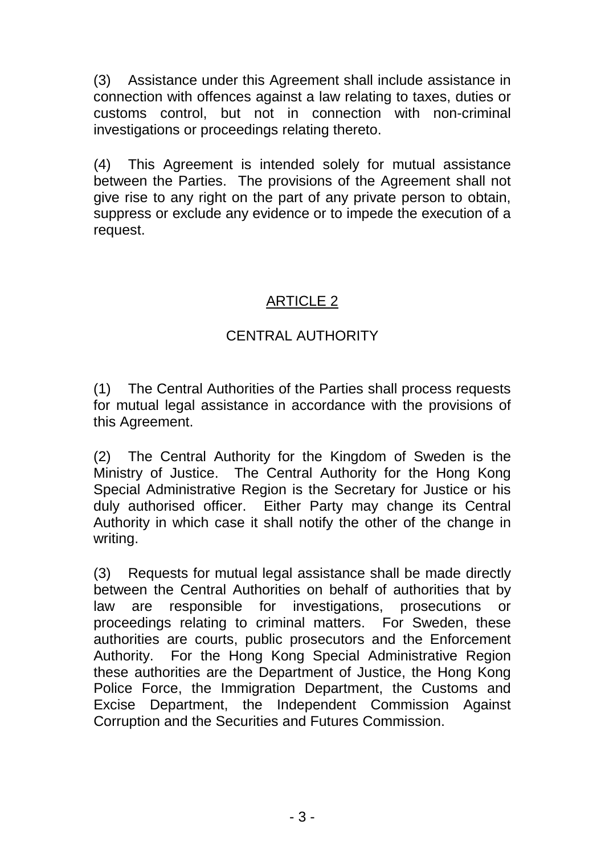(3) Assistance under this Agreement shall include assistance in connection with offences against a law relating to taxes, duties or customs control, but not in connection with non-criminal investigations or proceedings relating thereto.

(4) This Agreement is intended solely for mutual assistance between the Parties. The provisions of the Agreement shall not give rise to any right on the part of any private person to obtain, suppress or exclude any evidence or to impede the execution of a request.

# ARTICLE 2

# CENTRAL AUTHORITY

(1) The Central Authorities of the Parties shall process requests for mutual legal assistance in accordance with the provisions of this Agreement.

(2) The Central Authority for the Kingdom of Sweden is the Ministry of Justice. The Central Authority for the Hong Kong Special Administrative Region is the Secretary for Justice or his duly authorised officer. Either Party may change its Central Authority in which case it shall notify the other of the change in writing.

(3) Requests for mutual legal assistance shall be made directly between the Central Authorities on behalf of authorities that by law are responsible for investigations, prosecutions or proceedings relating to criminal matters. For Sweden, these authorities are courts, public prosecutors and the Enforcement Authority. For the Hong Kong Special Administrative Region these authorities are the Department of Justice, the Hong Kong Police Force, the Immigration Department, the Customs and Excise Department, the Independent Commission Against Corruption and the Securities and Futures Commission.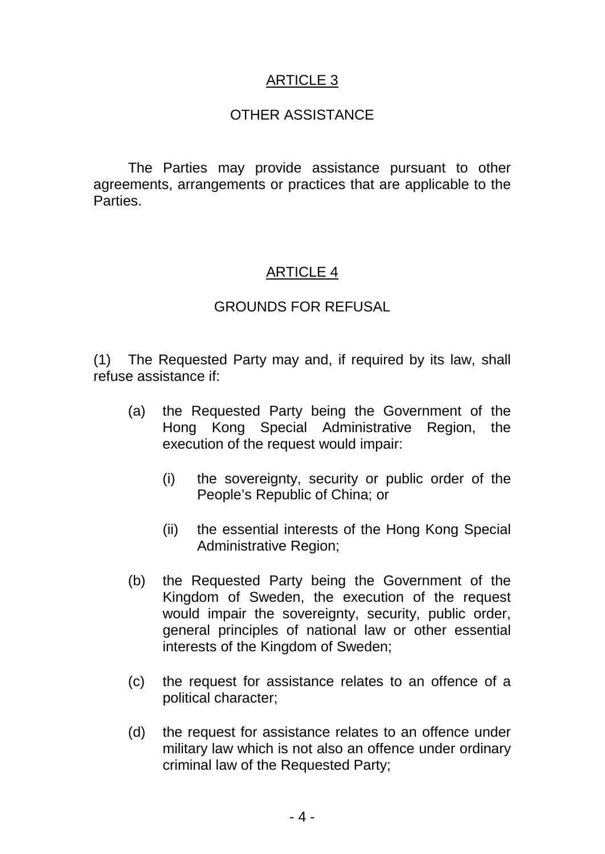#### OTHER ASSISTANCE

The Parties may provide assistance pursuant to other agreements, arrangements or practices that are applicable to the Parties.

### ARTICLE 4

#### GROUNDS FOR REFUSAL

(1) The Requested Party may and, if required by its law, shall refuse assistance if:

- (a) the Requested Party being the Government of the Hong Kong Special Administrative Region, the execution of the request would impair:
	- (i) the sovereignty, security or public order of the People's Republic of China; or
	- (ii) the essential interests of the Hong Kong Special Administrative Region;
- (b) the Requested Party being the Government of the Kingdom of Sweden, the execution of the request would impair the sovereignty, security, public order, general principles of national law or other essential interests of the Kingdom of Sweden;
- (c) the request for assistance relates to an offence of a political character;
- (d) the request for assistance relates to an offence under military law which is not also an offence under ordinary criminal law of the Requested Party;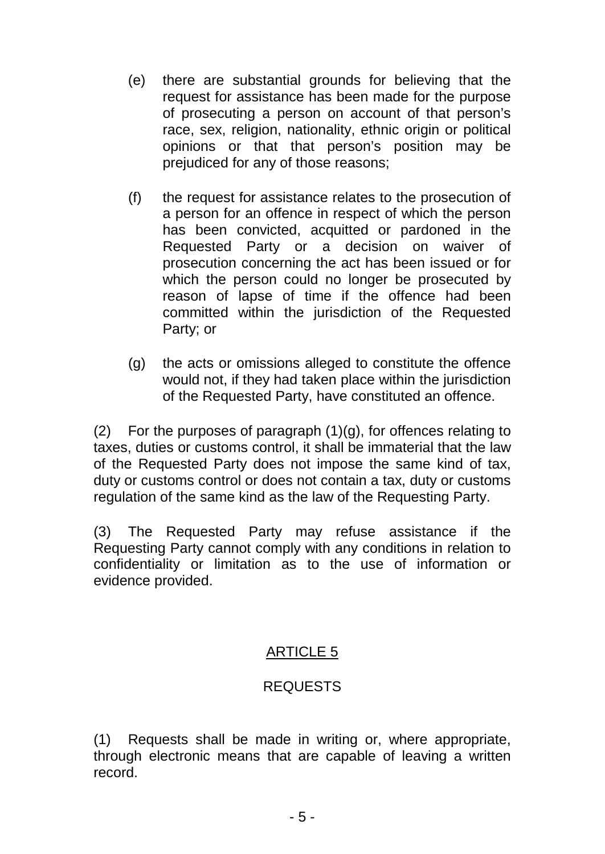- (e) there are substantial grounds for believing that the request for assistance has been made for the purpose of prosecuting a person on account of that person's race, sex, religion, nationality, ethnic origin or political opinions or that that person's position may be prejudiced for any of those reasons;
- (f) the request for assistance relates to the prosecution of a person for an offence in respect of which the person has been convicted, acquitted or pardoned in the Requested Party or a decision on waiver of prosecution concerning the act has been issued or for which the person could no longer be prosecuted by reason of lapse of time if the offence had been committed within the jurisdiction of the Requested Party; or
- (g) the acts or omissions alleged to constitute the offence would not, if they had taken place within the jurisdiction of the Requested Party, have constituted an offence.

(2) For the purposes of paragraph  $(1)(q)$ , for offences relating to taxes, duties or customs control, it shall be immaterial that the law of the Requested Party does not impose the same kind of tax, duty or customs control or does not contain a tax, duty or customs regulation of the same kind as the law of the Requesting Party.

(3) The Requested Party may refuse assistance if the Requesting Party cannot comply with any conditions in relation to confidentiality or limitation as to the use of information or evidence provided.

### ARTICLE 5

#### REQUESTS

(1) Requests shall be made in writing or, where appropriate, through electronic means that are capable of leaving a written record.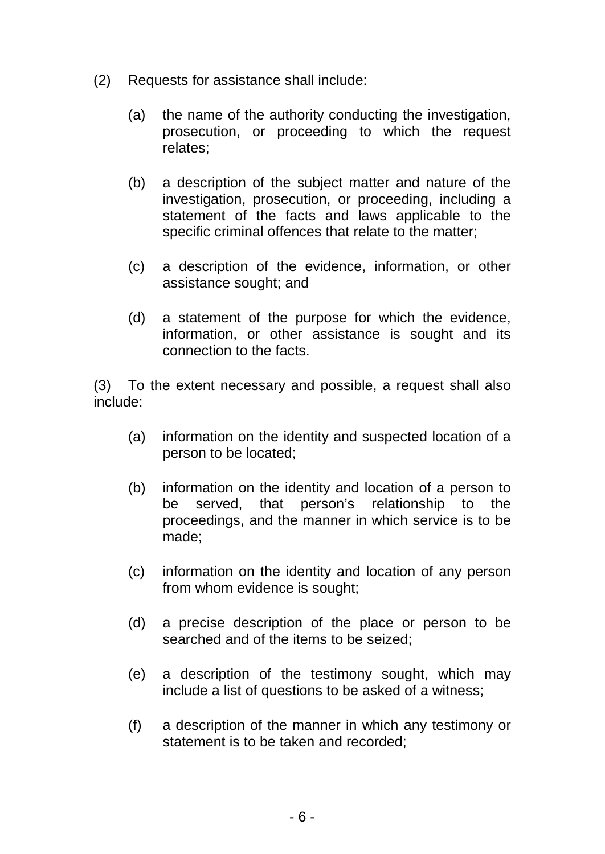- (2) Requests for assistance shall include:
	- (a) the name of the authority conducting the investigation, prosecution, or proceeding to which the request relates;
	- (b) a description of the subject matter and nature of the investigation, prosecution, or proceeding, including a statement of the facts and laws applicable to the specific criminal offences that relate to the matter;
	- (c) a description of the evidence, information, or other assistance sought; and
	- (d) a statement of the purpose for which the evidence, information, or other assistance is sought and its connection to the facts.

(3) To the extent necessary and possible, a request shall also include:

- (a) information on the identity and suspected location of a person to be located;
- (b) information on the identity and location of a person to be served, that person's relationship to the proceedings, and the manner in which service is to be made;
- (c) information on the identity and location of any person from whom evidence is sought;
- (d) a precise description of the place or person to be searched and of the items to be seized;
- (e) a description of the testimony sought, which may include a list of questions to be asked of a witness;
- (f) a description of the manner in which any testimony or statement is to be taken and recorded;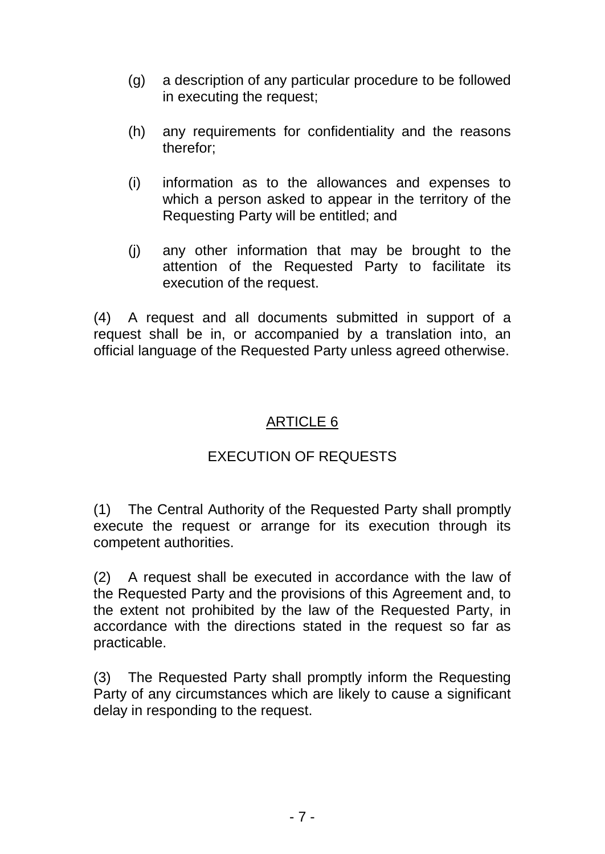- (g) a description of any particular procedure to be followed in executing the request;
- (h) any requirements for confidentiality and the reasons therefor;
- (i) information as to the allowances and expenses to which a person asked to appear in the territory of the Requesting Party will be entitled; and
- (j) any other information that may be brought to the attention of the Requested Party to facilitate its execution of the request.

(4) A request and all documents submitted in support of a request shall be in, or accompanied by a translation into, an official language of the Requested Party unless agreed otherwise.

# ARTICLE 6

# EXECUTION OF REQUESTS

(1) The Central Authority of the Requested Party shall promptly execute the request or arrange for its execution through its competent authorities.

(2) A request shall be executed in accordance with the law of the Requested Party and the provisions of this Agreement and, to the extent not prohibited by the law of the Requested Party, in accordance with the directions stated in the request so far as practicable.

(3) The Requested Party shall promptly inform the Requesting Party of any circumstances which are likely to cause a significant delay in responding to the request.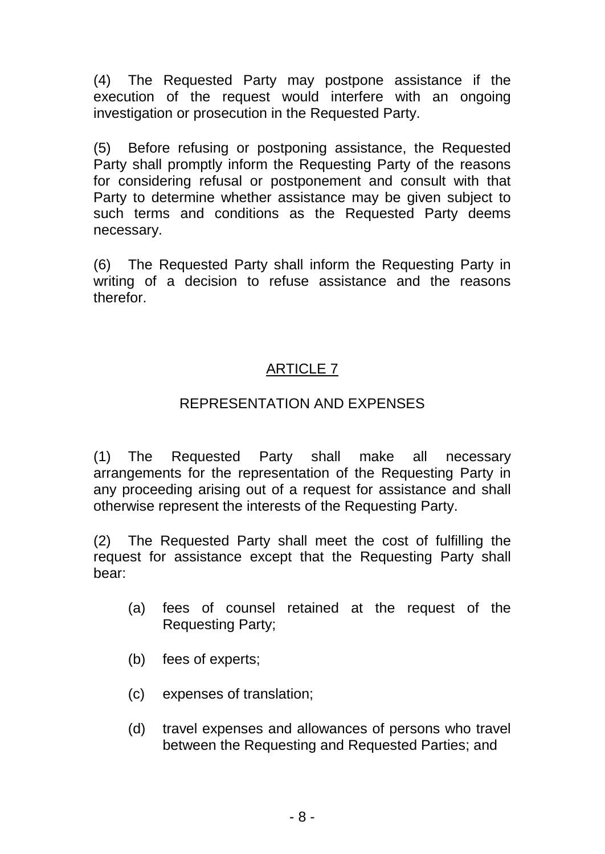(4) The Requested Party may postpone assistance if the execution of the request would interfere with an ongoing investigation or prosecution in the Requested Party.

(5) Before refusing or postponing assistance, the Requested Party shall promptly inform the Requesting Party of the reasons for considering refusal or postponement and consult with that Party to determine whether assistance may be given subject to such terms and conditions as the Requested Party deems necessary.

(6) The Requested Party shall inform the Requesting Party in writing of a decision to refuse assistance and the reasons therefor.

### ARTICLE 7

#### REPRESENTATION AND EXPENSES

(1) The Requested Party shall make all necessary arrangements for the representation of the Requesting Party in any proceeding arising out of a request for assistance and shall otherwise represent the interests of the Requesting Party.

(2) The Requested Party shall meet the cost of fulfilling the request for assistance except that the Requesting Party shall bear:

- (a) fees of counsel retained at the request of the Requesting Party;
- (b) fees of experts;
- (c) expenses of translation;
- (d) travel expenses and allowances of persons who travel between the Requesting and Requested Parties; and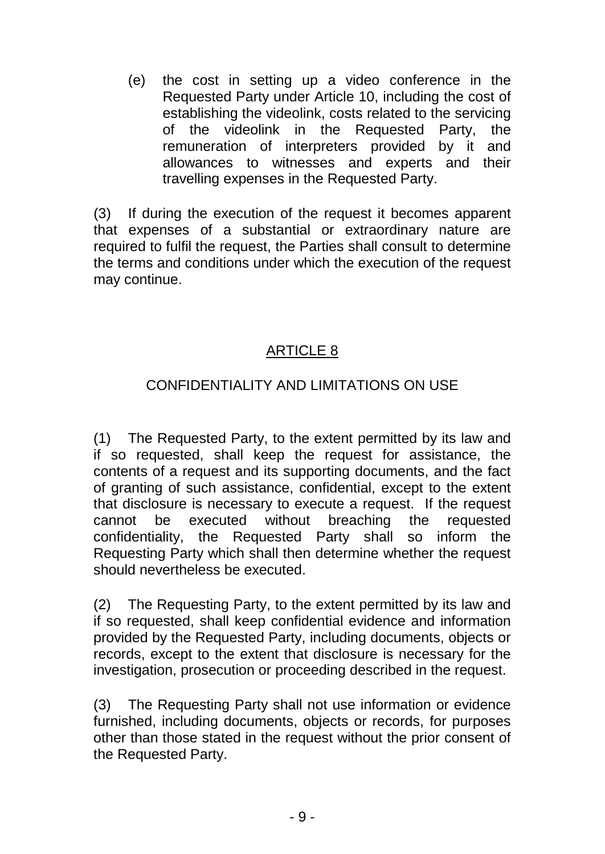(e) the cost in setting up a video conference in the Requested Party under Article 10, including the cost of establishing the videolink, costs related to the servicing of the videolink in the Requested Party, the remuneration of interpreters provided by it and allowances to witnesses and experts and their travelling expenses in the Requested Party.

(3) If during the execution of the request it becomes apparent that expenses of a substantial or extraordinary nature are required to fulfil the request, the Parties shall consult to determine the terms and conditions under which the execution of the request may continue.

### ARTICLE 8

### CONFIDENTIALITY AND LIMITATIONS ON USE

(1) The Requested Party, to the extent permitted by its law and if so requested, shall keep the request for assistance, the contents of a request and its supporting documents, and the fact of granting of such assistance, confidential, except to the extent that disclosure is necessary to execute a request. If the request cannot be executed without breaching the requested confidentiality, the Requested Party shall so inform the Requesting Party which shall then determine whether the request should nevertheless be executed.

(2) The Requesting Party, to the extent permitted by its law and if so requested, shall keep confidential evidence and information provided by the Requested Party, including documents, objects or records, except to the extent that disclosure is necessary for the investigation, prosecution or proceeding described in the request.

(3) The Requesting Party shall not use information or evidence furnished, including documents, objects or records, for purposes other than those stated in the request without the prior consent of the Requested Party.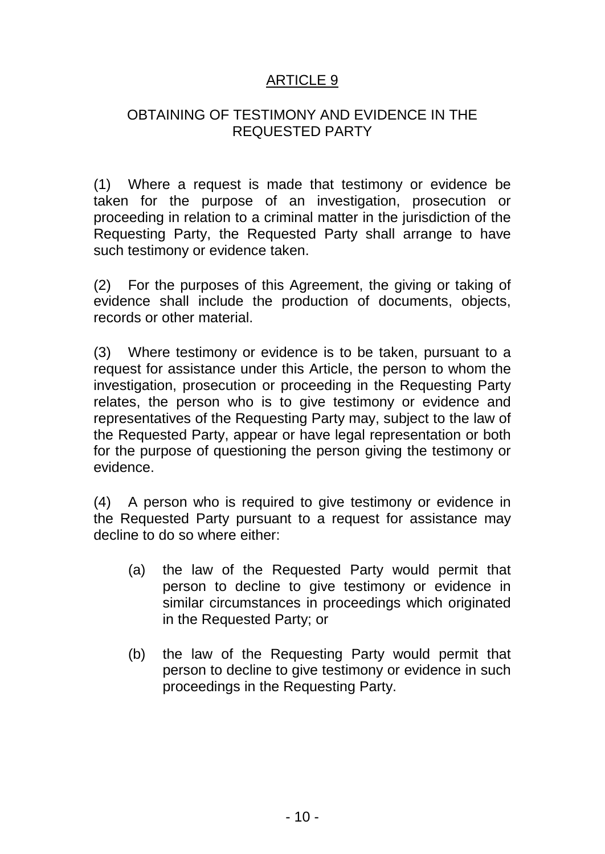#### OBTAINING OF TESTIMONY AND EVIDENCE IN THE REQUESTED PARTY

(1) Where a request is made that testimony or evidence be taken for the purpose of an investigation, prosecution or proceeding in relation to a criminal matter in the jurisdiction of the Requesting Party, the Requested Party shall arrange to have such testimony or evidence taken.

(2) For the purposes of this Agreement, the giving or taking of evidence shall include the production of documents, objects, records or other material.

(3) Where testimony or evidence is to be taken, pursuant to a request for assistance under this Article, the person to whom the investigation, prosecution or proceeding in the Requesting Party relates, the person who is to give testimony or evidence and representatives of the Requesting Party may, subject to the law of the Requested Party, appear or have legal representation or both for the purpose of questioning the person giving the testimony or evidence.

(4) A person who is required to give testimony or evidence in the Requested Party pursuant to a request for assistance may decline to do so where either:

- (a) the law of the Requested Party would permit that person to decline to give testimony or evidence in similar circumstances in proceedings which originated in the Requested Party; or
- (b) the law of the Requesting Party would permit that person to decline to give testimony or evidence in such proceedings in the Requesting Party.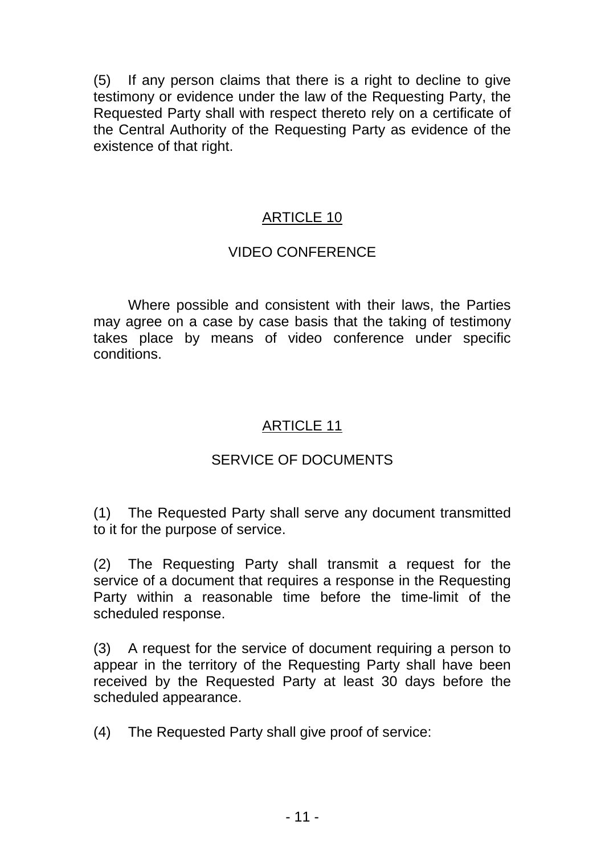(5) If any person claims that there is a right to decline to give testimony or evidence under the law of the Requesting Party, the Requested Party shall with respect thereto rely on a certificate of the Central Authority of the Requesting Party as evidence of the existence of that right.

### ARTICLE 10

#### VIDEO CONFERENCE

Where possible and consistent with their laws, the Parties may agree on a case by case basis that the taking of testimony takes place by means of video conference under specific conditions.

### ARTICLE 11

# SERVICE OF DOCUMENTS

(1) The Requested Party shall serve any document transmitted to it for the purpose of service.

(2) The Requesting Party shall transmit a request for the service of a document that requires a response in the Requesting Party within a reasonable time before the time-limit of the scheduled response.

(3) A request for the service of document requiring a person to appear in the territory of the Requesting Party shall have been received by the Requested Party at least 30 days before the scheduled appearance.

(4) The Requested Party shall give proof of service: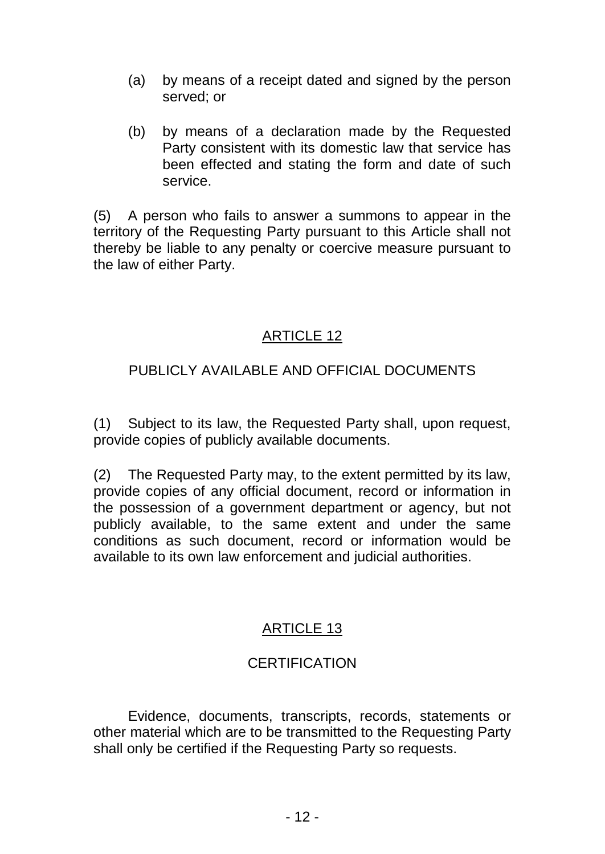- (a) by means of a receipt dated and signed by the person served; or
- (b) by means of a declaration made by the Requested Party consistent with its domestic law that service has been effected and stating the form and date of such service.

(5) A person who fails to answer a summons to appear in the territory of the Requesting Party pursuant to this Article shall not thereby be liable to any penalty or coercive measure pursuant to the law of either Party.

### ARTICLE 12

### PUBLICLY AVAILABLE AND OFFICIAL DOCUMENTS

(1) Subject to its law, the Requested Party shall, upon request, provide copies of publicly available documents.

(2) The Requested Party may, to the extent permitted by its law, provide copies of any official document, record or information in the possession of a government department or agency, but not publicly available, to the same extent and under the same conditions as such document, record or information would be available to its own law enforcement and judicial authorities.

### ARTICLE 13

### **CERTIFICATION**

Evidence, documents, transcripts, records, statements or other material which are to be transmitted to the Requesting Party shall only be certified if the Requesting Party so requests.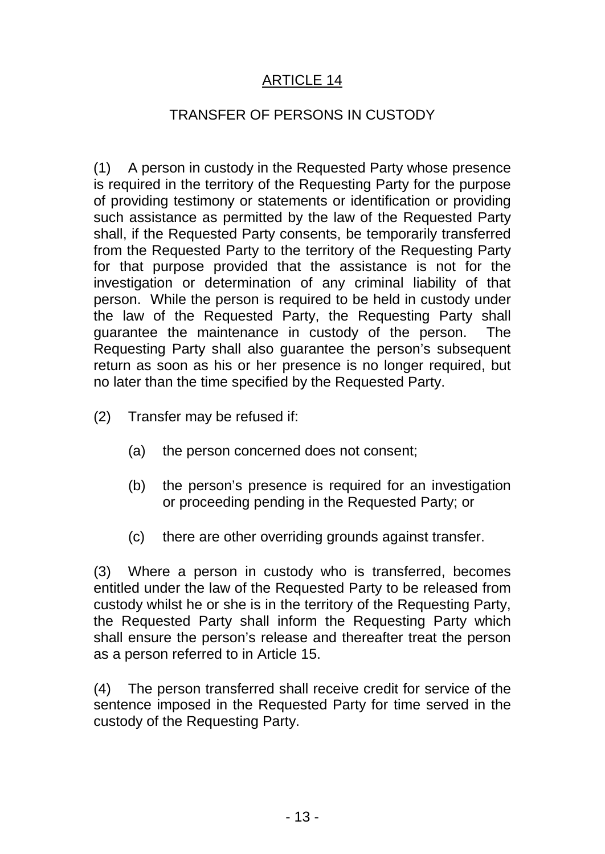#### TRANSFER OF PERSONS IN CUSTODY

(1) A person in custody in the Requested Party whose presence is required in the territory of the Requesting Party for the purpose of providing testimony or statements or identification or providing such assistance as permitted by the law of the Requested Party shall, if the Requested Party consents, be temporarily transferred from the Requested Party to the territory of the Requesting Party for that purpose provided that the assistance is not for the investigation or determination of any criminal liability of that person. While the person is required to be held in custody under the law of the Requested Party, the Requesting Party shall guarantee the maintenance in custody of the person. The Requesting Party shall also guarantee the person's subsequent return as soon as his or her presence is no longer required, but no later than the time specified by the Requested Party.

- (2) Transfer may be refused if:
	- (a) the person concerned does not consent;
	- (b) the person's presence is required for an investigation or proceeding pending in the Requested Party; or
	- (c) there are other overriding grounds against transfer.

(3) Where a person in custody who is transferred, becomes entitled under the law of the Requested Party to be released from custody whilst he or she is in the territory of the Requesting Party, the Requested Party shall inform the Requesting Party which shall ensure the person's release and thereafter treat the person as a person referred to in Article 15.

(4) The person transferred shall receive credit for service of the sentence imposed in the Requested Party for time served in the custody of the Requesting Party.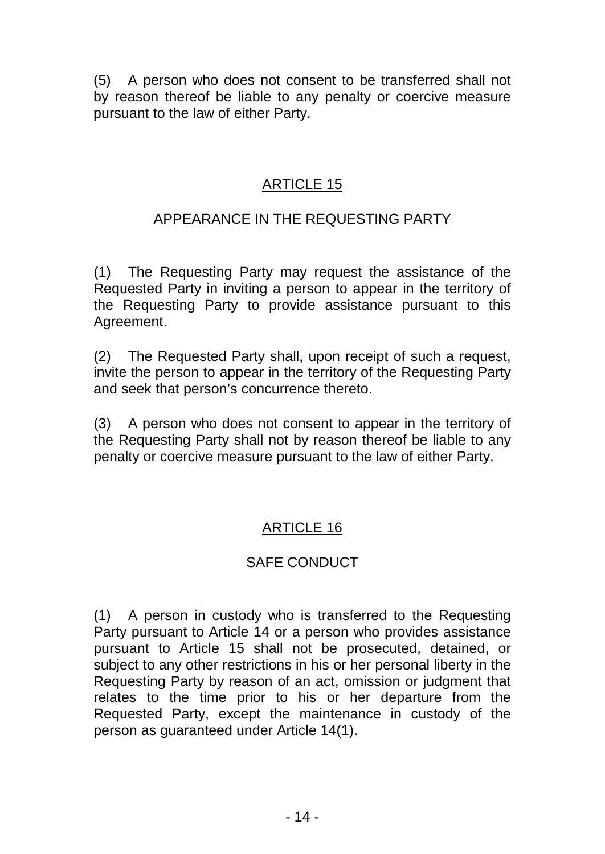(5) A person who does not consent to be transferred shall not by reason thereof be liable to any penalty or coercive measure pursuant to the law of either Party.

### ARTICLE 15

# APPEARANCE IN THE REQUESTING PARTY

(1) The Requesting Party may request the assistance of the Requested Party in inviting a person to appear in the territory of the Requesting Party to provide assistance pursuant to this Agreement.

(2) The Requested Party shall, upon receipt of such a request, invite the person to appear in the territory of the Requesting Party and seek that person's concurrence thereto.

(3) A person who does not consent to appear in the territory of the Requesting Party shall not by reason thereof be liable to any penalty or coercive measure pursuant to the law of either Party.

# ARTICLE 16

### SAFE CONDUCT

(1) A person in custody who is transferred to the Requesting Party pursuant to Article 14 or a person who provides assistance pursuant to Article 15 shall not be prosecuted, detained, or subject to any other restrictions in his or her personal liberty in the Requesting Party by reason of an act, omission or judgment that relates to the time prior to his or her departure from the Requested Party, except the maintenance in custody of the person as guaranteed under Article 14(1).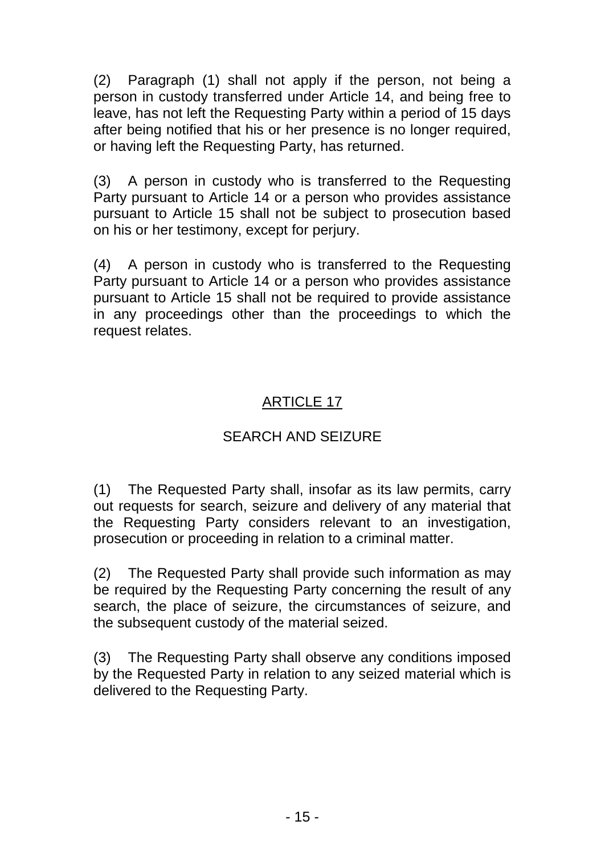(2) Paragraph (1) shall not apply if the person, not being a person in custody transferred under Article 14, and being free to leave, has not left the Requesting Party within a period of 15 days after being notified that his or her presence is no longer required, or having left the Requesting Party, has returned.

(3) A person in custody who is transferred to the Requesting Party pursuant to Article 14 or a person who provides assistance pursuant to Article 15 shall not be subject to prosecution based on his or her testimony, except for perjury.

(4) A person in custody who is transferred to the Requesting Party pursuant to Article 14 or a person who provides assistance pursuant to Article 15 shall not be required to provide assistance in any proceedings other than the proceedings to which the request relates.

# ARTICLE 17

## SEARCH AND SEIZURE

(1) The Requested Party shall, insofar as its law permits, carry out requests for search, seizure and delivery of any material that the Requesting Party considers relevant to an investigation, prosecution or proceeding in relation to a criminal matter.

(2) The Requested Party shall provide such information as may be required by the Requesting Party concerning the result of any search, the place of seizure, the circumstances of seizure, and the subsequent custody of the material seized.

(3) The Requesting Party shall observe any conditions imposed by the Requested Party in relation to any seized material which is delivered to the Requesting Party.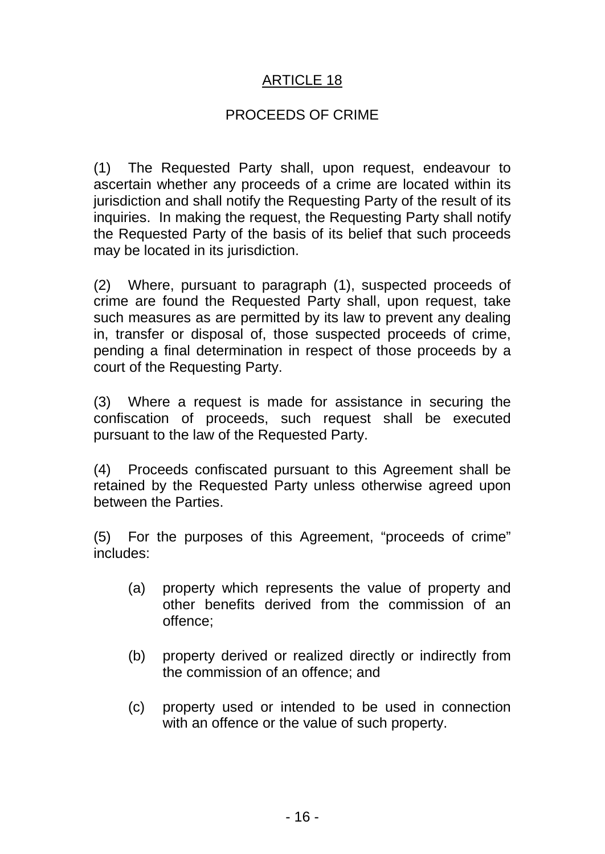#### PROCEEDS OF CRIME

(1) The Requested Party shall, upon request, endeavour to ascertain whether any proceeds of a crime are located within its jurisdiction and shall notify the Requesting Party of the result of its inquiries. In making the request, the Requesting Party shall notify the Requested Party of the basis of its belief that such proceeds may be located in its jurisdiction.

(2) Where, pursuant to paragraph (1), suspected proceeds of crime are found the Requested Party shall, upon request, take such measures as are permitted by its law to prevent any dealing in, transfer or disposal of, those suspected proceeds of crime, pending a final determination in respect of those proceeds by a court of the Requesting Party.

(3) Where a request is made for assistance in securing the confiscation of proceeds, such request shall be executed pursuant to the law of the Requested Party.

(4) Proceeds confiscated pursuant to this Agreement shall be retained by the Requested Party unless otherwise agreed upon between the Parties.

(5) For the purposes of this Agreement, "proceeds of crime" includes:

- (a) property which represents the value of property and other benefits derived from the commission of an offence;
- (b) property derived or realized directly or indirectly from the commission of an offence; and
- (c) property used or intended to be used in connection with an offence or the value of such property.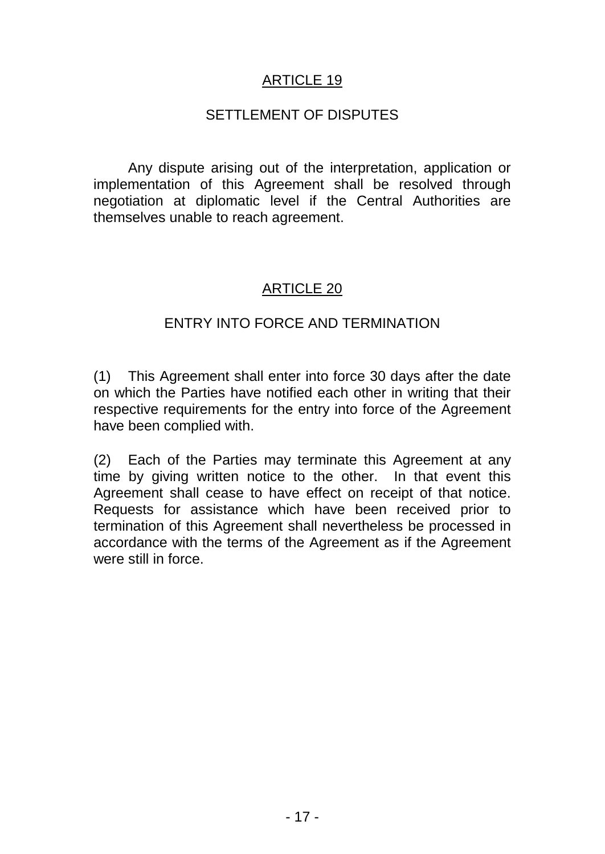#### SETTLEMENT OF DISPUTES

Any dispute arising out of the interpretation, application or implementation of this Agreement shall be resolved through negotiation at diplomatic level if the Central Authorities are themselves unable to reach agreement.

### ARTICLE 20

#### ENTRY INTO FORCE AND TERMINATION

(1) This Agreement shall enter into force 30 days after the date on which the Parties have notified each other in writing that their respective requirements for the entry into force of the Agreement have been complied with.

(2) Each of the Parties may terminate this Agreement at any time by giving written notice to the other. In that event this Agreement shall cease to have effect on receipt of that notice. Requests for assistance which have been received prior to termination of this Agreement shall nevertheless be processed in accordance with the terms of the Agreement as if the Agreement were still in force.